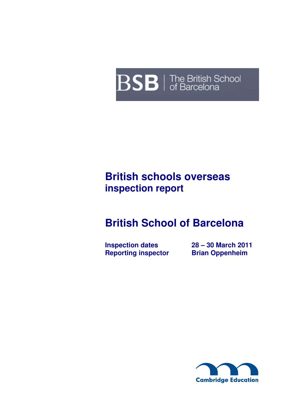# **BSB** | The British School

# **British schools overseas inspection report**

# **British School of Barcelona**

**Inspection dates 28 – 30 March 2011<br>
Reporting inspector Brian Oppenheim Reporting inspector** 

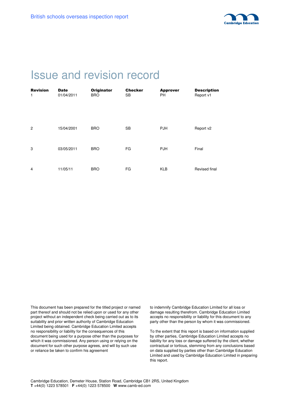

# Issue and revision record

| <b>Revision</b><br>$\mathbf{1}$ | <b>Date</b><br>01/04/2011 | <b>Originator</b><br><b>BRO</b> | <b>Checker</b><br><b>SB</b> | <b>Approver</b><br><b>PH</b> | <b>Description</b><br>Report v1 |
|---------------------------------|---------------------------|---------------------------------|-----------------------------|------------------------------|---------------------------------|
|                                 |                           |                                 |                             |                              |                                 |
|                                 |                           |                                 |                             |                              |                                 |
|                                 |                           |                                 |                             |                              |                                 |
| $\overline{2}$                  | 15/04/2001                | <b>BRO</b>                      | <b>SB</b>                   | <b>PJH</b>                   | Report v2                       |
|                                 |                           |                                 |                             |                              |                                 |
| 3                               | 03/05/2011                | <b>BRO</b>                      | FG                          | <b>PJH</b>                   | Final                           |
|                                 |                           |                                 |                             |                              |                                 |
| 4                               | 11/05/11                  | <b>BRO</b>                      | FG                          | <b>KLB</b>                   | Revised final                   |
|                                 |                           |                                 |                             |                              |                                 |

This document has been prepared for the titled project or named part thereof and should not be relied upon or used for any other project without an independent check being carried out as to its suitability and prior written authority of Cambridge Education Limited being obtained. Cambridge Education Limited accepts no responsibility or liability for the consequences of this document being used for a purpose other than the purposes for which it was commissioned. Any person using or relying on the document for such other purpose agrees, and will by such use or reliance be taken to confirm his agreement

to indemnify Cambridge Education Limited for all loss or damage resulting therefrom. Cambridge Education Limited accepts no responsibility or liability for this document to any party other than the person by whom it was commissioned.

To the extent that this report is based on information supplied by other parties, Cambridge Education Limited accepts no liability for any loss or damage suffered by the client, whether contractual or tortious, stemming from any conclusions based on data supplied by parties other than Cambridge Education Limited and used by Cambridge Education Limited in preparing this report.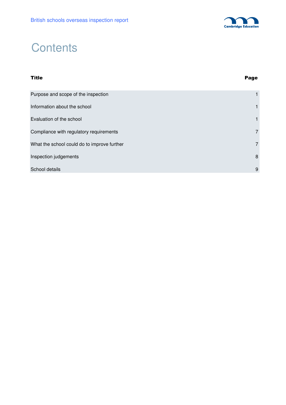

# **Contents**

# Title Page Purpose and scope of the inspection 1 and 1 and 1 and 1 and 1 and 1 and 1 and 1 and 1 and 1 and 1 and 1 and 1 and 1 and 1 and 1 and 1 and 1 and 1 and 1 and 1 and 1 and 1 and 1 and 1 and 1 and 1 and 1 and 1 and 1 and 1 and Information about the school 1 and 1 and 2 and 2 and 2 and 2 and 2 and 2 and 2 and 2 and 2 and 2 and 2 and 2 and 2 and 2 and 2 and 2 and 2 and 2 and 2 and 2 and 2 and 2 and 2 and 2 and 2 and 2 and 2 and 2 and 2 and 2 and 2 Evaluation of the school **1** and 1 and 1 and 1 and 1 and 1 and 1 and 1 and 1 and 1 and 1 and 1 and 1 and 1 and 1 and 1 and 1 and 1 and 1 and 1 and 1 and 1 and 1 and 1 and 1 and 1 and 1 and 1 and 1 and 1 and 1 and 1 and 1 a Compliance with regulatory requirements **7** and 200 million control of the control of the control of the control of the control of the control of the control of the control of the control of the control of the control of t What the school could do to improve further 7 and 7 and 7 and 7 and 7 and 7 and 7 and 7 and 7 and 7 and 7 and 7 and 7 and 7 and 7 and 7 and 7 and 7 and 7 and 7 and 7 and 7 and 7 and 7 and 7 and 7 and 7 and 7 and 7 and 7 an **Inspection judgements** 8 School details **9**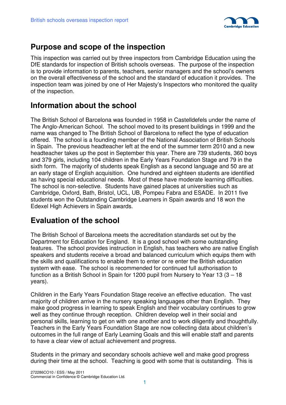

### **Purpose and scope of the inspection**

This inspection was carried out by three inspectors from Cambridge Education using the DfE standards for inspection of British schools overseas. The purpose of the inspection is to provide information to parents, teachers, senior managers and the school's owners on the overall effectiveness of the school and the standard of education it provides. The inspection team was joined by one of Her Majesty's Inspectors who monitored the quality of the inspection.

### **Information about the school**

The British School of Barcelona was founded in 1958 in Castelldefels under the name of The Anglo-American School. The school moved to its present buildings in 1999 and the name was changed to The British School of Barcelona to reflect the type of education offered. The school is a founding member of the National Association of British Schools in Spain. The previous headteacher left at the end of the summer term 2010 and a new headteacher takes up the post in September this year. There are 739 students, 360 boys and 379 girls, including 104 children in the Early Years Foundation Stage and 79 in the sixth form. The majority of students speak English as a second language and 50 are at an early stage of English acquisition. One hundred and eighteen students are identified as having special educational needs. Most of these have moderate learning difficulties. The school is non-selective. Students have gained places at universities such as Cambridge, Oxford, Bath, Bristol, UCL, UB, Pompeu Fabra and ESADE. In 2011 five students won the Outstanding Cambridge Learners in Spain awards and 18 won the Edexel High Achievers in Spain awards.

### **Evaluation of the school**

The British School of Barcelona meets the accreditation standards set out by the Department for Education for England. It is a good school with some outstanding features. The school provides instruction in English, has teachers who are native English speakers and students receive a broad and balanced curriculum which equips them with the skills and qualifications to enable them to enter or re enter the British education system with ease. The school is recommended for continued full authorisation to function as a British School in Spain for 1200 pupil from Nursery to Year 13 (3 – 18 years).

Children in the Early Years Foundation Stage receive an effective education. The vast majority of children arrive in the nursery speaking languages other than English. They make good progress in learning to speak English and their vocabulary continues to grow well as they continue through reception. Children develop well in their social and personal skills, learning to get on with one another and to work diligently and thoughtfully. Teachers in the Early Years Foundation Stage are now collecting data about children's outcomes in the full range of Early Learning Goals and this will enable staff and parents to have a clear view of actual achievement and progress.

Students in the primary and secondary schools achieve well and make good progress during their time at the school. Teaching is good with some that is outstanding. This is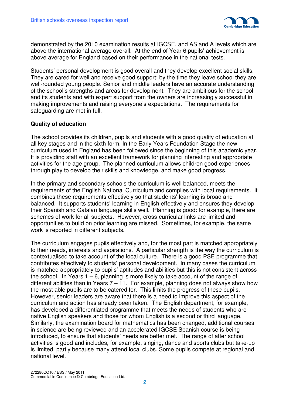

demonstrated by the 2010 examination results at IGCSE, and AS and A levels which are above the international average overall. At the end of Year 6 pupils' achievement is above average for England based on their performance in the national tests.

Students' personal development is good overall and they develop excellent social skills. They are cared for well and receive good support: by the time they leave school they are well-rounded young people. Senior and middle leaders have an accurate understanding of the school's strengths and areas for development. They are ambitious for the school and its students and with expert support from the owners are increasingly successful in making improvements and raising everyone's expectations. The requirements for safeguarding are met in full.

#### **Quality of education**

The school provides its children, pupils and students with a good quality of education at all key stages and in the sixth form. In the Early Years Foundation Stage the new curriculum used in England has been followed since the beginning of this academic year. It is providing staff with an excellent framework for planning interesting and appropriate activities for the age group. The planned curriculum allows children good experiences through play to develop their skills and knowledge, and make good progress.

In the primary and secondary schools the curriculum is well balanced, meets the requirements of the English National Curriculum and complies with local requirements. It combines these requirements effectively so that students' learning is broad and balanced. It supports students' learning in English effectively and ensures they develop their Spanish and Catalan language skills well. Planning is good: for example, there are schemes of work for all subjects. However, cross-curricular links are limited and opportunities to build on prior learning are missed. Sometimes, for example, the same work is reported in different subjects.

The curriculum engages pupils effectively and, for the most part is matched appropriately to their needs, interests and aspirations. A particular strength is the way the curriculum is contextualised to take account of the local culture. There is a good PSE programme that contributes effectively to students' personal development. In many cases the curriculum is matched appropriately to pupils' aptitudes and abilities but this is not consistent across the school. In Years  $1 - 6$ , planning is more likely to take account of the range of different abilities than in Years  $7 - 11$ . For example, planning does not always show how the most able pupils are to be catered for. This limits the progress of these pupils. However, senior leaders are aware that there is a need to improve this aspect of the curriculum and action has already been taken. The English department, for example, has developed a differentiated programme that meets the needs of students who are native English speakers and those for whom English is a second or third language. Similarly, the examination board for mathematics has been changed, additional courses in science are being reviewed and an accelerated IGCSE Spanish course is being introduced, to ensure that students' needs are better met. The range of after school activities is good and includes, for example, singing, dance and sports clubs but take-up is limited, partly because many attend local clubs. Some pupils compete at regional and national level.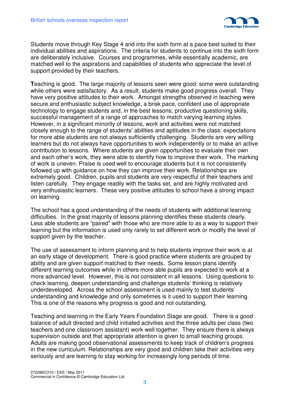

Students move through Key Stage 4 and into the sixth form at a pace best suited to their individual abilities and aspirations. The criteria for students to continue into the sixth form are deliberately inclusive. Courses and programmes, while essentially academic, are matched well to the aspirations and capabilities of students who appreciate the level of support provided by their teachers.

**T**eaching is good. The large majority of lessons seen were good: some were outstanding while others were satisfactory. As a result, students make good progress overall. They have very positive attitudes to their work. Amongst strengths observed in teaching were secure and enthusiastic subject knowledge, a brisk pace, confident use of appropriate technology to engage students and, in the best lessons, productive questioning skills, successful management of a range of approaches to match varying learning styles. However, in a significant minority of lessons, work and activities were not matched closely enough to the range of students' abilities and aptitudes in the class: expectations for more able students are not always sufficiently challenging. Students are very willing learners but do not always have opportunities to work independently or to make an active contribution to lessons. Where students are given opportunities to evaluate their own and each other's work, they were able to identify how to improve their work. The marking of work is uneven. Praise is used well to encourage students but it is not consistently followed up with guidance on how they can improve their work. Relationships are extremely good. Children, pupils and students are very respectful of their teachers and listen carefully. They engage readily with the tasks set, and are highly motivated and very enthusiastic learners. These very positive attitudes to school have a strong impact on learning.

The school has a good understanding of the needs of students with additional learning difficulties. In the great majority of lessons planning identifies these students clearly. Less able students are "paired" with those who are more able to as a way to support their learning but the information is used only rarely to set different work or modify the level of support given by the teacher.

The use of assessment to inform planning and to help students improve their work is at an early stage of development. There is good practice where students are grouped by ability and are given support matched to their needs. Some lesson plans identify different learning outcomes while in others more able pupils are expected to work at a more advanced level. However, this is not consistent in all lessons. Using questions to check learning, deepen understanding and challenge students' thinking is relatively underdeveloped. Across the school assessment is used mainly to test students' understanding and knowledge and only sometimes is it used to support their learning. This is one of the reasons why progress is good and not outstanding.

Teaching and learning in the Early Years Foundation Stage are good. There is a good balance of adult directed and child initiated activities and the three adults per class (two teachers and one classroom assistant) work well together. They ensure there is always supervision outside and that appropriate attention is given to small teaching groups. Adults are making good observational assessments to keep track of children's progress in the new curriculum. Relationships are very good and children take their activities very seriously and are learning to stay working for increasingly long periods of time.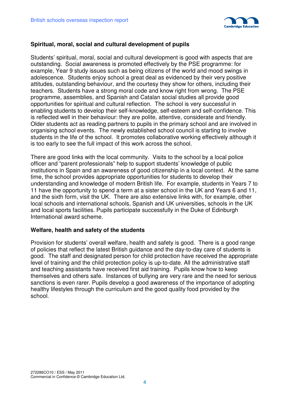

#### **Spiritual, moral, social and cultural development of pupils**

Students' spiritual, moral, social and cultural development is good with aspects that are outstanding. Social awareness is promoted effectively by the PSE programme: for example, Year 9 study issues such as being citizens of the world and mood swings in adolescence. Students enjoy school a great deal as evidenced by their very positive attitudes, outstanding behaviour, and the courtesy they show for others, including their teachers. Students have a strong moral code and know right from wrong. The PSE programme, assemblies, and Spanish and Catalan social studies all provide good opportunities for spiritual and cultural reflection. The school is very successful in enabling students to develop their self-knowledge, self-esteem and self-confidence. This is reflected well in their behaviour: they are polite, attentive, considerate and friendly. Older students act as reading partners to pupils in the primary school and are involved in organising school events. The newly established school council is starting to involve students in the life of the school. It promotes collaborative working effectively although it is too early to see the full impact of this work across the school.

There are good links with the local community. Visits to the school by a local police officer and "parent professionals" help to support students' knowledge of public institutions in Spain and an awareness of good citizenship in a local context. At the same time, the school provides appropriate opportunities for students to develop their understanding and knowledge of modern British life. For example, students in Years 7 to 11 have the opportunity to spend a term at a sister school in the UK and Years 6 and 11, and the sixth form, visit the UK. There are also extensive links with, for example, other local schools and international schools, Spanish and UK universities, schools in the UK and local sports facilities. Pupils participate successfully in the Duke of Edinburgh International award scheme.

#### **Welfare, health and safety of the students**

Provision for students' overall welfare, health and safety is good. There is a good range of policies that reflect the latest British guidance and the day-to-day care of students is good. The staff and designated person for child protection have received the appropriate level of training and the child protection policy is up-to-date. All the administrative staff and teaching assistants have received first aid training. Pupils know how to keep themselves and others safe. Instances of bullying are very rare and the need for serious sanctions is even rarer. Pupils develop a good awareness of the importance of adopting healthy lifestyles through the curriculum and the good quality food provided by the school.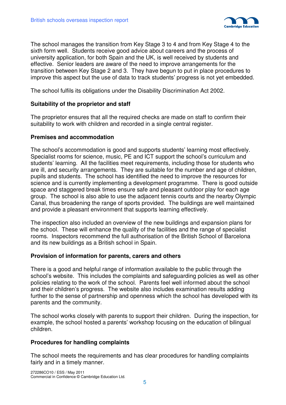

The school manages the transition from Key Stage 3 to 4 and from Key Stage 4 to the sixth form well. Students receive good advice about careers and the process of university application, for both Spain and the UK, is well received by students and effective. Senior leaders are aware of the need to improve arrangements for the transition between Key Stage 2 and 3. They have begun to put in place procedures to improve this aspect but the use of data to track students' progress is not yet embedded.

The school fulfils its obligations under the Disability Discrimination Act 2002.

#### **Suitability of the proprietor and staff**

The proprietor ensures that all the required checks are made on staff to confirm their suitability to work with children and recorded in a single central register.

#### **Premises and accommodation**

The school's accommodation is good and supports students' learning most effectively. Specialist rooms for science, music, PE and ICT support the school's curriculum and students' learning. All the facilities meet requirements, including those for students who are ill, and security arrangements. They are suitable for the number and age of children, pupils and students. The school has identified the need to improve the resources for science and is currently implementing a development programme. There is good outside space and staggered break times ensure safe and pleasant outdoor play for each age group. The school is also able to use the adjacent tennis courts and the nearby Olympic Canal, thus broadening the range of sports provided. The buildings are well maintained and provide a pleasant environment that supports learning effectively.

The inspection also included an overview of the new buildings and expansion plans for the school. These will enhance the quality of the facilities and the range of specialist rooms. Inspectors recommend the full authorisation of the British School of Barcelona and its new buildings as a British school in Spain.

#### **Provision of information for parents, carers and others**

There is a good and helpful range of information available to the public through the school's website. This includes the complaints and safeguarding policies as well as other policies relating to the work of the school. Parents feel well informed about the school and their children's progress. The website also includes examination results adding further to the sense of partnership and openness which the school has developed with its parents and the community.

The school works closely with parents to support their children. During the inspection, for example, the school hosted a parents' workshop focusing on the education of bilingual children.

#### **Procedures for handling complaints**

The school meets the requirements and has clear procedures for handling complaints fairly and in a timely manner.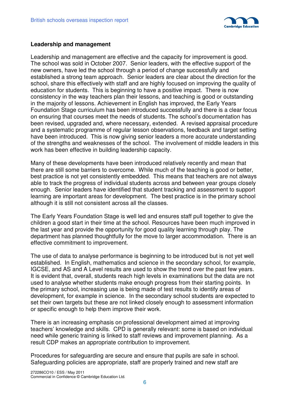

#### **Leadership and management**

Leadership and management are effective and the capacity for improvement is good. The school was sold in October 2007. Senior leaders, with the effective support of the new owners, have led the school through a period of change successfully and established a strong team approach. Senior leaders are clear about the direction for the school, share this effectively with staff and are highly focused on improving the quality of education for students. This is beginning to have a positive impact. There is now consistency in the way teachers plan their lessons, and teaching is good or outstanding in the majority of lessons. Achievement in English has improved, the Early Years Foundation Stage curriculum has been introduced successfully and there is a clear focus on ensuring that courses meet the needs of students. The school's documentation has been revised, upgraded and, where necessary, extended. A revised appraisal procedure and a systematic programme of regular lesson observations, feedback and target setting have been introduced. This is now giving senior leaders a more accurate understanding of the strengths and weaknesses of the school. The involvement of middle leaders in this work has been effective in building leadership capacity.

Many of these developments have been introduced relatively recently and mean that there are still some barriers to overcome. While much of the teaching is good or better, best practice is not yet consistently embedded. This means that teachers are not always able to track the progress of individual students across and between year groups closely enough. Senior leaders have identified that student tracking and assessment to support learning are important areas for development. The best practice is in the primary school although it is still not consistent across all the classes.

The Early Years Foundation Stage is well led and ensures staff pull together to give the children a good start in their time at the school. Resources have been much improved in the last year and provide the opportunity for good quality learning through play. The department has planned thoughtfully for the move to larger accommodation. There is an effective commitment to improvement.

The use of data to analyse performance is beginning to be introduced but is not yet well established. In English, mathematics and science in the secondary school, for example, IGCSE, and AS and A Level results are used to show the trend over the past few years. It is evident that, overall, students reach high levels in examinations but the data are not used to analyse whether students make enough progress from their starting points. In the primary school, increasing use is being made of test results to identify areas of development, for example in science. In the secondary school students are expected to set their own targets but these are not linked closely enough to assessment information or specific enough to help them improve their work.

There is an increasing emphasis on professional development aimed at improving teachers' knowledge and skills. CPD is generally relevant: some is based on individual need while generic training is linked to staff reviews and improvement planning. As a result CDP makes an appropriate contribution to improvement.

Procedures for safeguarding are secure and ensure that pupils are safe in school. Safeguarding policies are appropriate, staff are properly trained and new staff are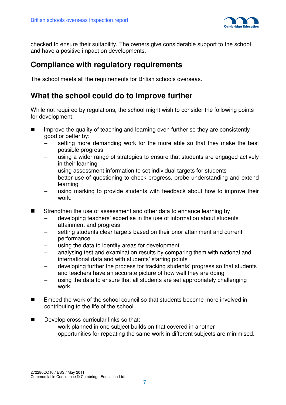

checked to ensure their suitability. The owners give considerable support to the school and have a positive impact on developments.

### **Compliance with regulatory requirements**

The school meets all the requirements for British schools overseas.

### **What the school could do to improve further**

While not required by regulations, the school might wish to consider the following points for development:

- $\blacksquare$  Improve the quality of teaching and learning even further so they are consistently good or better by:
	- setting more demanding work for the more able so that they make the best possible progress
	- using a wider range of strategies to ensure that students are engaged actively in their learning
	- using assessment information to set individual targets for students
	- better use of questioning to check progress, probe understanding and extend learning
	- using marking to provide students with feedback about how to improve their work.
- Strengthen the use of assessment and other data to enhance learning by
	- − developing teachers' expertise in the use of information about students' attainment and progress
	- setting students clear targets based on their prior attainment and current performance
	- using the data to identify areas for development
	- analysing test and examination results by comparing them with national and international data and with students' starting points
	- − developing further the process for tracking students' progress so that students and teachers have an accurate picture of how well they are doing
	- using the data to ensure that all students are set appropriately challenging work.
- Embed the work of the school council so that students become more involved in contributing to the life of the school.
- Develop cross-curricular links so that:
	- work planned in one subject builds on that covered in another
	- − opportunities for repeating the same work in different subjects are minimised.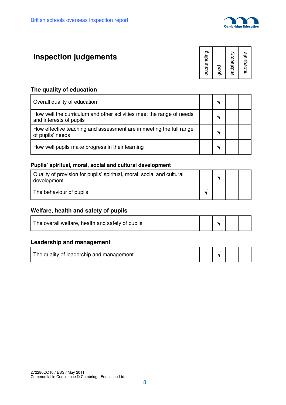

# **Inspection judgements**

| inadequate   |
|--------------|
| satisfactory |
| good         |
| outstanding  |

#### **The quality of education**

| Overall quality of education                                                                    |    |  |
|-------------------------------------------------------------------------------------------------|----|--|
| How well the curriculum and other activities meet the range of needs<br>and interests of pupils | ٦J |  |
| How effective teaching and assessment are in meeting the full range<br>of pupils' needs         |    |  |
| How well pupils make progress in their learning                                                 |    |  |

#### **Pupils' spiritual, moral, social and cultural development**

| Quality of provision for pupils' spiritual, moral, social and cultural<br>development |  |  |
|---------------------------------------------------------------------------------------|--|--|
| The behaviour of pupils                                                               |  |  |

#### **Welfare, health and safety of pupils**

| The overall welfare, health and safety of pupils |  |  |  |  |  |
|--------------------------------------------------|--|--|--|--|--|
|--------------------------------------------------|--|--|--|--|--|

#### **Leadership and management**

| The quality of leadership and management |  | $\vert \sqrt{\ }$ |  |  |
|------------------------------------------|--|-------------------|--|--|
|------------------------------------------|--|-------------------|--|--|